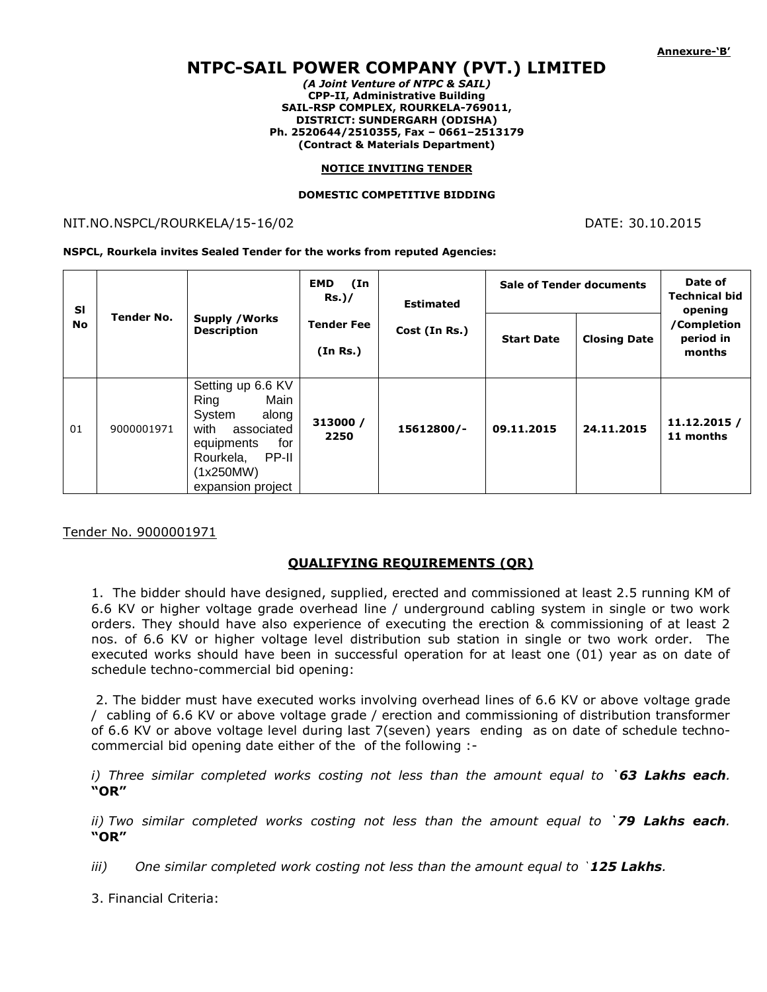# **NTPC-SAIL POWER COMPANY (PVT.) LIMITED**

*(A Joint Venture of NTPC & SAIL)* **CPP-II, Administrative Building SAIL-RSP COMPLEX, ROURKELA-769011, DISTRICT: SUNDERGARH (ODISHA) Ph. 2520644/2510355, Fax – 0661–2513179 (Contract & Materials Department)**

#### **NOTICE INVITING TENDER**

#### **DOMESTIC COMPETITIVE BIDDING**

## NIT.NO.NSPCL/ROURKELA/15-16/02 DATE: 30.10.2015

**NSPCL, Rourkela invites Sealed Tender for the works from reputed Agencies:**

| <b>SI</b><br><b>No</b> | Tender No. | <b>Supply / Works</b><br><b>Description</b>                                                                                                             | <b>EMD</b><br>(In<br>$Rs.$ )/ | <b>Estimated</b><br>Cost (In Rs.) | <b>Sale of Tender documents</b> |                     | Date of<br><b>Technical bid</b><br>opening |
|------------------------|------------|---------------------------------------------------------------------------------------------------------------------------------------------------------|-------------------------------|-----------------------------------|---------------------------------|---------------------|--------------------------------------------|
|                        |            |                                                                                                                                                         | <b>Tender Fee</b><br>(In Rs.) |                                   | <b>Start Date</b>               | <b>Closing Date</b> | /Completion<br>period in<br>months         |
| 01                     | 9000001971 | Setting up 6.6 KV<br>Main<br>Ring<br>along<br>System<br>with<br>associated<br>for<br>equipments<br>PP-II<br>Rourkela,<br>(1x250MW)<br>expansion project | 313000 /<br>2250              | 15612800/-                        | 09.11.2015                      | 24.11.2015          | 11.12.2015 /<br>11 months                  |

### Tender No. 9000001971

### **QUALIFYING REQUIREMENTS (QR)**

1. The bidder should have designed, supplied, erected and commissioned at least 2.5 running KM of 6.6 KV or higher voltage grade overhead line / underground cabling system in single or two work orders. They should have also experience of executing the erection & commissioning of at least 2 nos. of 6.6 KV or higher voltage level distribution sub station in single or two work order. The executed works should have been in successful operation for at least one (01) year as on date of schedule techno-commercial bid opening:

2. The bidder must have executed works involving overhead lines of 6.6 KV or above voltage grade / cabling of 6.6 KV or above voltage grade / erection and commissioning of distribution transformer of 6.6 KV or above voltage level during last 7(seven) years ending as on date of schedule technocommercial bid opening date either of the of the following :-

*i) Three similar completed works costing not less than the amount equal to `63 Lakhs each.*  **"OR"**

*ii) Two similar completed works costing not less than the amount equal to `79 Lakhs each.*  **"OR"**

*iii*) One similar completed work costing not less than the amount equal to **`125 Lakhs**.

3. Financial Criteria: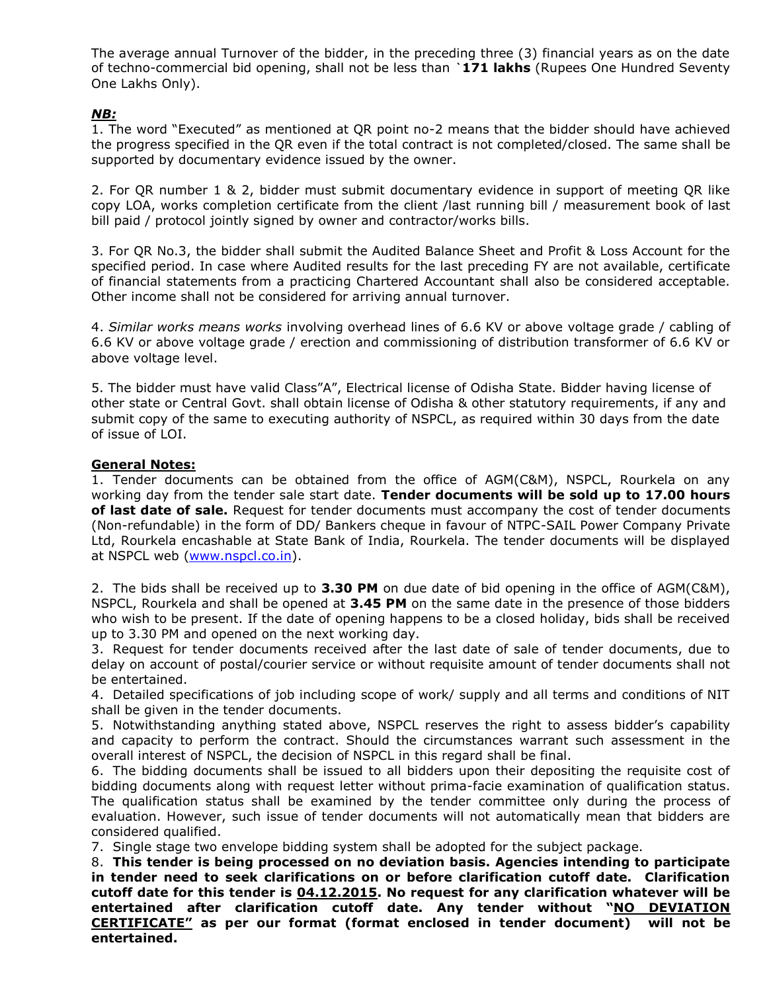The average annual Turnover of the bidder, in the preceding three (3) financial years as on the date of techno-commercial bid opening, shall not be less than **`171 lakhs** (Rupees One Hundred Seventy One Lakhs Only).

# *NB:*

1. The word "Executed" as mentioned at QR point no-2 means that the bidder should have achieved the progress specified in the QR even if the total contract is not completed/closed. The same shall be supported by documentary evidence issued by the owner.

2. For QR number 1 & 2, bidder must submit documentary evidence in support of meeting QR like copy LOA, works completion certificate from the client /last running bill / measurement book of last bill paid / protocol jointly signed by owner and contractor/works bills.

3. For QR No.3, the bidder shall submit the Audited Balance Sheet and Profit & Loss Account for the specified period. In case where Audited results for the last preceding FY are not available, certificate of financial statements from a practicing Chartered Accountant shall also be considered acceptable. Other income shall not be considered for arriving annual turnover.

4. *Similar works means works* involving overhead lines of 6.6 KV or above voltage grade / cabling of 6.6 KV or above voltage grade / erection and commissioning of distribution transformer of 6.6 KV or above voltage level.

5. The bidder must have valid Class"A", Electrical license of Odisha State. Bidder having license of other state or Central Govt. shall obtain license of Odisha & other statutory requirements, if any and submit copy of the same to executing authority of NSPCL, as required within 30 days from the date of issue of LOI.

### **General Notes:**

1. Tender documents can be obtained from the office of AGM(C&M), NSPCL, Rourkela on any working day from the tender sale start date. **Tender documents will be sold up to 17.00 hours of last date of sale.** Request for tender documents must accompany the cost of tender documents (Non-refundable) in the form of DD/ Bankers cheque in favour of NTPC-SAIL Power Company Private Ltd, Rourkela encashable at State Bank of India, Rourkela. The tender documents will be displayed at NSPCL web [\(www.nspcl.co.in\)](http://www.nspcl.co.in/).

2. The bids shall be received up to **3.30 PM** on due date of bid opening in the office of AGM(C&M), NSPCL, Rourkela and shall be opened at **3.45 PM** on the same date in the presence of those bidders who wish to be present. If the date of opening happens to be a closed holiday, bids shall be received up to 3.30 PM and opened on the next working day.

3. Request for tender documents received after the last date of sale of tender documents, due to delay on account of postal/courier service or without requisite amount of tender documents shall not be entertained.

4. Detailed specifications of job including scope of work/ supply and all terms and conditions of NIT shall be given in the tender documents.

5. Notwithstanding anything stated above, NSPCL reserves the right to assess bidder's capability and capacity to perform the contract. Should the circumstances warrant such assessment in the overall interest of NSPCL, the decision of NSPCL in this regard shall be final.

6. The bidding documents shall be issued to all bidders upon their depositing the requisite cost of bidding documents along with request letter without prima-facie examination of qualification status. The qualification status shall be examined by the tender committee only during the process of evaluation. However, such issue of tender documents will not automatically mean that bidders are considered qualified.

7. Single stage two envelope bidding system shall be adopted for the subject package.

8. **This tender is being processed on no deviation basis. Agencies intending to participate in tender need to seek clarifications on or before clarification cutoff date. Clarification cutoff date for this tender is 04.12.2015. No request for any clarification whatever will be entertained after clarification cutoff date. Any tender without "NO DEVIATION CERTIFICATE" as per our format (format enclosed in tender document) will not be entertained.**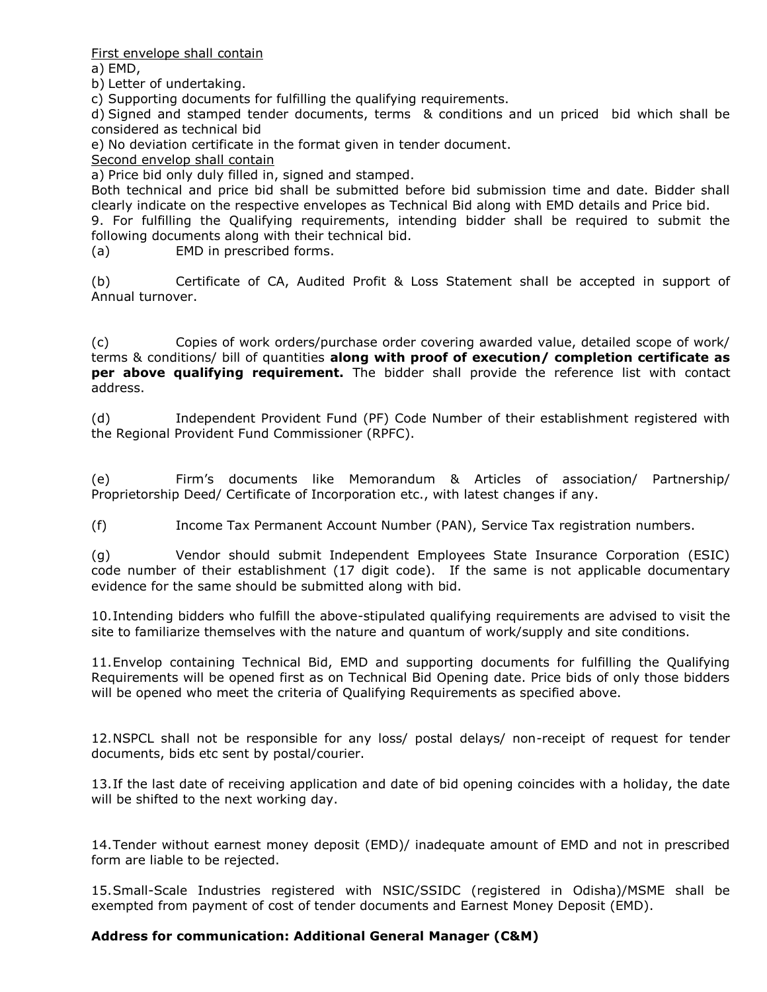First envelope shall contain

a) EMD,

b) Letter of undertaking.

c) Supporting documents for fulfilling the qualifying requirements.

d) Signed and stamped tender documents, terms & conditions and un priced bid which shall be considered as technical bid

e) No deviation certificate in the format given in tender document.

Second envelop shall contain

a) Price bid only duly filled in, signed and stamped.

Both technical and price bid shall be submitted before bid submission time and date. Bidder shall clearly indicate on the respective envelopes as Technical Bid along with EMD details and Price bid.

9. For fulfilling the Qualifying requirements, intending bidder shall be required to submit the following documents along with their technical bid.

(a) EMD in prescribed forms.

(b) Certificate of CA, Audited Profit & Loss Statement shall be accepted in support of Annual turnover.

(c) Copies of work orders/purchase order covering awarded value, detailed scope of work/ terms & conditions/ bill of quantities **along with proof of execution/ completion certificate as per above qualifying requirement.** The bidder shall provide the reference list with contact address.

(d) Independent Provident Fund (PF) Code Number of their establishment registered with the Regional Provident Fund Commissioner (RPFC).

(e) Firm's documents like Memorandum & Articles of association/ Partnership/ Proprietorship Deed/ Certificate of Incorporation etc., with latest changes if any.

(f) Income Tax Permanent Account Number (PAN), Service Tax registration numbers.

(g) Vendor should submit Independent Employees State Insurance Corporation (ESIC) code number of their establishment (17 digit code). If the same is not applicable documentary evidence for the same should be submitted along with bid.

10.Intending bidders who fulfill the above-stipulated qualifying requirements are advised to visit the site to familiarize themselves with the nature and quantum of work/supply and site conditions.

11.Envelop containing Technical Bid, EMD and supporting documents for fulfilling the Qualifying Requirements will be opened first as on Technical Bid Opening date. Price bids of only those bidders will be opened who meet the criteria of Qualifying Requirements as specified above.

12.NSPCL shall not be responsible for any loss/ postal delays/ non-receipt of request for tender documents, bids etc sent by postal/courier.

13.If the last date of receiving application and date of bid opening coincides with a holiday, the date will be shifted to the next working day.

14.Tender without earnest money deposit (EMD)/ inadequate amount of EMD and not in prescribed form are liable to be rejected.

15.Small-Scale Industries registered with NSIC/SSIDC (registered in Odisha)/MSME shall be exempted from payment of cost of tender documents and Earnest Money Deposit (EMD).

### **Address for communication: Additional General Manager (C&M)**